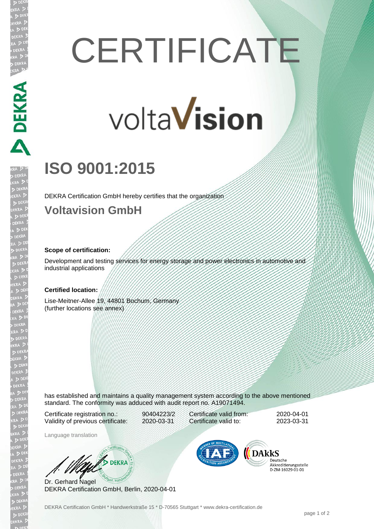# **CERTIFICATE**

# volta**Vision**

## **ISO 9001:2015**

DEKRA Certification GmbH hereby certifies that the organization

#### **Voltavision GmbH**

#### **Scope of certification:**

DEKRA PER

Development and testing services for energy storage and power electronics in automotive and industrial applications

#### **Certified location:**

Lise-Meitner-Allee 19, 44801 Bochum, Germany (further locations see annex)

has established and maintains a quality management system according to the above mentioned standard. The conformity was adduced with audit report no. A19071494.

Certificate registration no.: 90404223/2 Validity of previous certificate: 2020-03-31

Certificate valid from: 2020-04-01 Certificate valid to: 2023-03-31

Language translation

**BULL** DEKRA

Dr. Gerhard Nagel DEKRA Certification GmbH, Berlin, 2020-04-01



Deutsche Akkreditierungsstelle